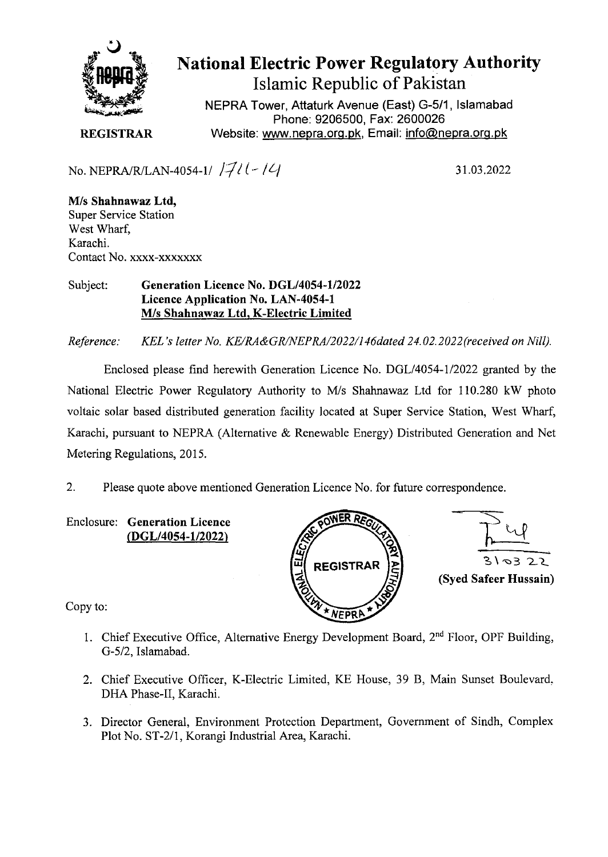

**National Electric Power Regulatory Authority Islamic Republic of Pakistan** 

NEPRA Tower, Attaturk Avenue (East) G-511, Islamabad Phone: 9206500, Fax: 2600026 **REGISTRAR** Website: www.nepra.org.pk, Email: info@nepra.org.pk

No. NEPRA/R/LAN-4054-1/  $|7/1$  |  $-1/4$  31.03.2022

MIs **Shahnawaz Ltd,**  Super Service Station West Wharf, Karachi. Contact No. xxxx-xxxxxxx

Subject: **Generation Licence No. DGL/4054-1/2022 Licence Application No. LAN-4054-1**  MIs **Shahnawaz Ltd, K-Electric Limited** 

*Reference: KEL's letter No. KE/RA&GR/NEPRA/2022/146dated 24.02.2022* (received on Nill).

Enclosed please find herewith Generation Licence No. DGL/4054-1/2022 granted by the National Electric Power Regulatory Authority to M/s Shahnawaz Ltd for 110.280 kW photo voltaic solar based distributed generation facility located at Super Service Station, West Wharf, Karachi, pursuant to NEPRA (Alternative & Renewable Energy) Distributed Generation and Net Metering Regulations, 2015.

2. Please quote above mentioned Generation Licence No. for future correspondence.

Enclosure: **Generation Licence**  (DGL/4054-112022)





Copy to:

- 1. Chief Executive Office, Alternative Energy Development Board,  $2<sup>nd</sup>$  Floor, OPF Building, *G-5/2,* Islamabad.
- 2. Chief Executive Officer, K-Electric Limited, KE House, 39 B, Main Sunset Boulevard, DHA Phase-Il, Karachi.
- 3. Director General, Environment Protection Department, Government of Sindh, Complex Plot No. ST-2/l, Korangi Industrial Area, Karachi.